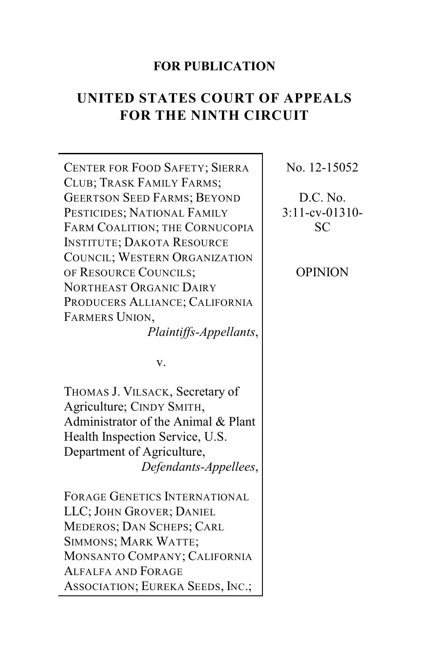## **FOR PUBLICATION**

# **UNITED STATES COURT OF APPEALS FOR THE NINTH CIRCUIT**

CENTER FOR FOOD SAFETY; SIERRA CLUB; TRASK FAMILY FARMS; GEERTSON SEED FARMS; BEYOND PESTICIDES; NATIONAL FAMILY FARM COALITION; THE CORNUCOPIA INSTITUTE; DAKOTA RESOURCE COUNCIL; WESTERN ORGANIZATION OF RESOURCE COUNCILS; NORTHEAST ORGANIC DAIRY PRODUCERS ALLIANCE; CALIFORNIA FARMERS UNION, *Plaintiffs-Appellants*, v. THOMAS J. VILSACK, Secretary of Agriculture; CINDY SMITH, Administrator of the Animal & Plant Health Inspection Service, U.S. Department of Agriculture, *Defendants-Appellees*, FORAGE GENETICS INTERNATIONAL LLC; JOHN GROVER; DANIEL MEDEROS; DAN SCHEPS; CARL SIMMONS; MARK WATTE; MONSANTO COMPANY; CALIFORNIA ALFALFA AND FORAGE ASSOCIATION; EUREKA SEEDS, INC.;

No. 12-15052

D.C. No. 3:11-cv-01310- SC

OPINION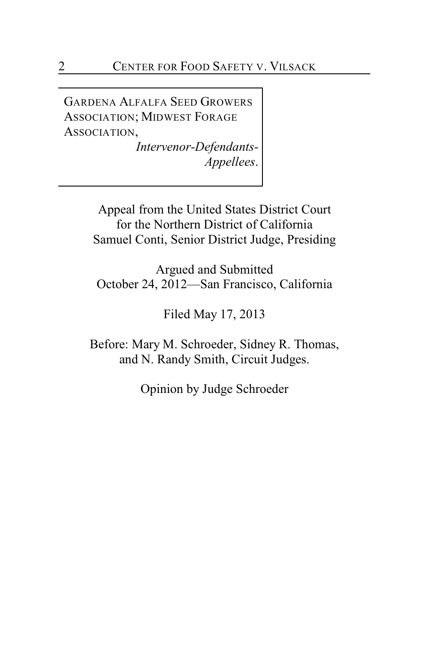GARDENA ALFALFA SEED GROWERS ASSOCIATION; MIDWEST FORAGE ASSOCIATION,

> *Intervenor-Defendants-Appellees*.

Appeal from the United States District Court for the Northern District of California Samuel Conti, Senior District Judge, Presiding

Argued and Submitted October 24, 2012—San Francisco, California

Filed May 17, 2013

Before: Mary M. Schroeder, Sidney R. Thomas, and N. Randy Smith, Circuit Judges.

Opinion by Judge Schroeder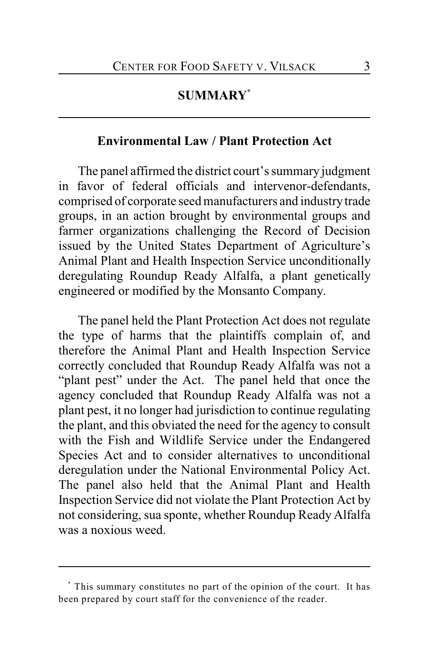### **SUMMARY \***

# **Environmental Law / Plant Protection Act**

The panel affirmed the district court's summary judgment in favor of federal officials and intervenor-defendants, comprised of corporate seed manufacturers and industry trade groups, in an action brought by environmental groups and farmer organizations challenging the Record of Decision issued by the United States Department of Agriculture's Animal Plant and Health Inspection Service unconditionally deregulating Roundup Ready Alfalfa, a plant genetically engineered or modified by the Monsanto Company.

The panel held the Plant Protection Act does not regulate the type of harms that the plaintiffs complain of, and therefore the Animal Plant and Health Inspection Service correctly concluded that Roundup Ready Alfalfa was not a "plant pest" under the Act. The panel held that once the agency concluded that Roundup Ready Alfalfa was not a plant pest, it no longer had jurisdiction to continue regulating the plant, and this obviated the need for the agency to consult with the Fish and Wildlife Service under the Endangered Species Act and to consider alternatives to unconditional deregulation under the National Environmental Policy Act. The panel also held that the Animal Plant and Health Inspection Service did not violate the Plant Protection Act by not considering, sua sponte, whether Roundup Ready Alfalfa was a noxious weed.

This summary constitutes no part of the opinion of the court. It has **\*** been prepared by court staff for the convenience of the reader.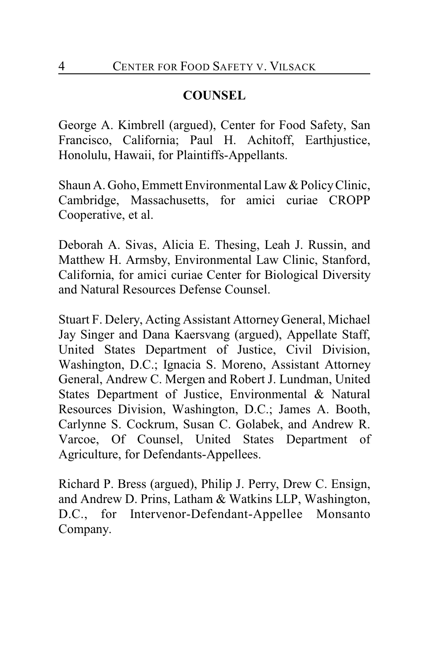# **COUNSEL**

George A. Kimbrell (argued), Center for Food Safety, San Francisco, California; Paul H. Achitoff, Earthjustice, Honolulu, Hawaii, for Plaintiffs-Appellants.

Shaun A. Goho, Emmett Environmental Law & Policy Clinic, Cambridge, Massachusetts, for amici curiae CROPP Cooperative, et al.

Deborah A. Sivas, Alicia E. Thesing, Leah J. Russin, and Matthew H. Armsby, Environmental Law Clinic, Stanford, California, for amici curiae Center for Biological Diversity and Natural Resources Defense Counsel.

Stuart F. Delery, Acting Assistant Attorney General, Michael Jay Singer and Dana Kaersvang (argued), Appellate Staff, United States Department of Justice, Civil Division, Washington, D.C.; Ignacia S. Moreno, Assistant Attorney General, Andrew C. Mergen and Robert J. Lundman, United States Department of Justice, Environmental & Natural Resources Division, Washington, D.C.; James A. Booth, Carlynne S. Cockrum, Susan C. Golabek, and Andrew R. Varcoe, Of Counsel, United States Department of Agriculture, for Defendants-Appellees.

Richard P. Bress (argued), Philip J. Perry, Drew C. Ensign, and Andrew D. Prins, Latham & Watkins LLP, Washington, D.C., for Intervenor-Defendant-Appellee Monsanto Company.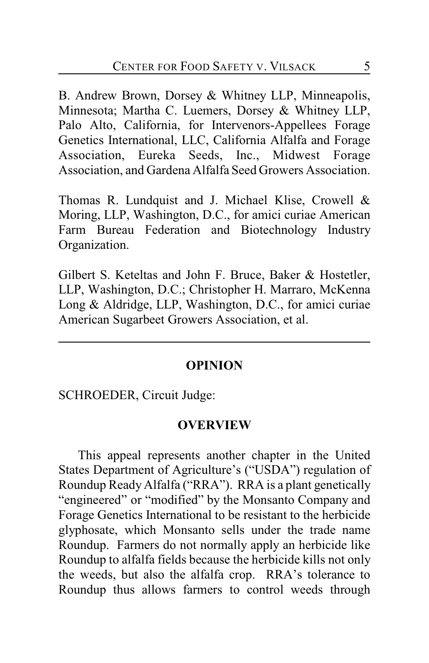B. Andrew Brown, Dorsey & Whitney LLP, Minneapolis, Minnesota; Martha C. Luemers, Dorsey & Whitney LLP, Palo Alto, California, for Intervenors-Appellees Forage Genetics International, LLC, California Alfalfa and Forage Association, Eureka Seeds, Inc., Midwest Forage Association, and Gardena Alfalfa Seed Growers Association.

Thomas R. Lundquist and J. Michael Klise, Crowell & Moring, LLP, Washington, D.C., for amici curiae American Farm Bureau Federation and Biotechnology Industry Organization.

Gilbert S. Keteltas and John F. Bruce, Baker & Hostetler, LLP, Washington, D.C.; Christopher H. Marraro, McKenna Long & Aldridge, LLP, Washington, D.C., for amici curiae American Sugarbeet Growers Association, et al.

### **OPINION**

SCHROEDER, Circuit Judge:

#### **OVERVIEW**

This appeal represents another chapter in the United States Department of Agriculture's ("USDA") regulation of Roundup Ready Alfalfa ("RRA"). RRA is a plant genetically "engineered" or "modified" by the Monsanto Company and Forage Genetics International to be resistant to the herbicide glyphosate, which Monsanto sells under the trade name Roundup. Farmers do not normally apply an herbicide like Roundup to alfalfa fields because the herbicide kills not only the weeds, but also the alfalfa crop. RRA's tolerance to Roundup thus allows farmers to control weeds through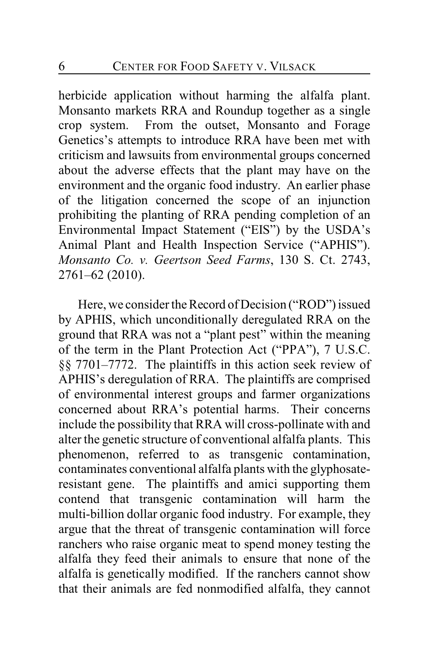herbicide application without harming the alfalfa plant. Monsanto markets RRA and Roundup together as a single crop system. From the outset, Monsanto and Forage Genetics's attempts to introduce RRA have been met with criticism and lawsuits from environmental groups concerned about the adverse effects that the plant may have on the environment and the organic food industry. An earlier phase of the litigation concerned the scope of an injunction prohibiting the planting of RRA pending completion of an Environmental Impact Statement ("EIS") by the USDA's Animal Plant and Health Inspection Service ("APHIS"). *Monsanto Co. v. Geertson Seed Farms*, 130 S. Ct. 2743, 2761–62 (2010).

Here, we consider the Record of Decision ("ROD") issued by APHIS, which unconditionally deregulated RRA on the ground that RRA was not a "plant pest" within the meaning of the term in the Plant Protection Act ("PPA"), 7 U.S.C. §§ 7701–7772. The plaintiffs in this action seek review of APHIS's deregulation of RRA. The plaintiffs are comprised of environmental interest groups and farmer organizations concerned about RRA's potential harms. Their concerns include the possibility that RRA will cross-pollinate with and alter the genetic structure of conventional alfalfa plants. This phenomenon, referred to as transgenic contamination, contaminates conventional alfalfa plants with the glyphosateresistant gene. The plaintiffs and amici supporting them contend that transgenic contamination will harm the multi-billion dollar organic food industry. For example, they argue that the threat of transgenic contamination will force ranchers who raise organic meat to spend money testing the alfalfa they feed their animals to ensure that none of the alfalfa is genetically modified. If the ranchers cannot show that their animals are fed nonmodified alfalfa, they cannot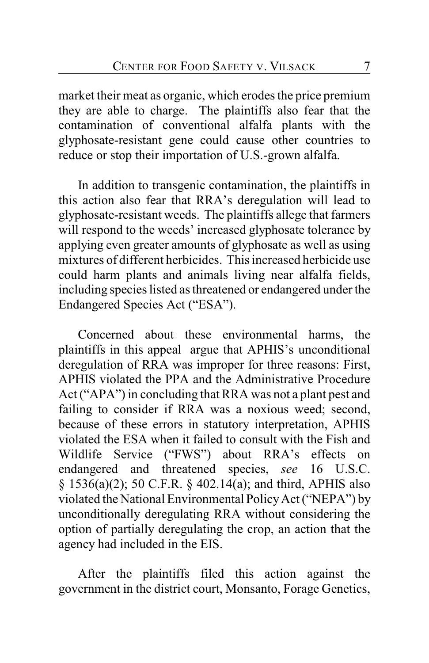market their meat as organic, which erodes the price premium they are able to charge. The plaintiffs also fear that the contamination of conventional alfalfa plants with the glyphosate-resistant gene could cause other countries to reduce or stop their importation of U.S.-grown alfalfa.

In addition to transgenic contamination, the plaintiffs in this action also fear that RRA's deregulation will lead to glyphosate-resistant weeds. The plaintiffs allege that farmers will respond to the weeds' increased glyphosate tolerance by applying even greater amounts of glyphosate as well as using mixtures of different herbicides. This increased herbicide use could harm plants and animals living near alfalfa fields, including species listed as threatened or endangered under the Endangered Species Act ("ESA").

Concerned about these environmental harms, the plaintiffs in this appeal argue that APHIS's unconditional deregulation of RRA was improper for three reasons: First, APHIS violated the PPA and the Administrative Procedure Act ("APA") in concluding that RRA was not a plant pest and failing to consider if RRA was a noxious weed; second, because of these errors in statutory interpretation, APHIS violated the ESA when it failed to consult with the Fish and Wildlife Service ("FWS") about RRA's effects on endangered and threatened species, *see* 16 U.S.C. § 1536(a)(2); 50 C.F.R. § 402.14(a); and third, APHIS also violated the National Environmental PolicyAct ("NEPA") by unconditionally deregulating RRA without considering the option of partially deregulating the crop, an action that the agency had included in the EIS.

After the plaintiffs filed this action against the government in the district court, Monsanto, Forage Genetics,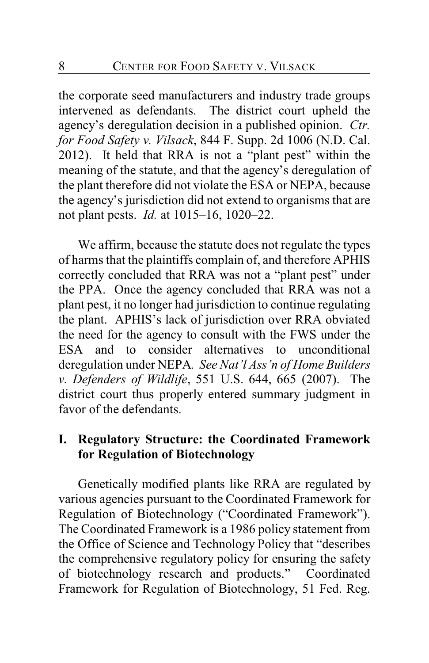the corporate seed manufacturers and industry trade groups intervened as defendants. The district court upheld the agency's deregulation decision in a published opinion. *Ctr. for Food Safety v. Vilsack*, 844 F. Supp. 2d 1006 (N.D. Cal. 2012). It held that RRA is not a "plant pest" within the meaning of the statute, and that the agency's deregulation of the plant therefore did not violate the ESA or NEPA, because the agency's jurisdiction did not extend to organisms that are not plant pests. *Id.* at 1015–16, 1020–22.

We affirm, because the statute does not regulate the types of harms that the plaintiffs complain of, and therefore APHIS correctly concluded that RRA was not a "plant pest" under the PPA. Once the agency concluded that RRA was not a plant pest, it no longer had jurisdiction to continue regulating the plant. APHIS's lack of jurisdiction over RRA obviated the need for the agency to consult with the FWS under the ESA and to consider alternatives to unconditional deregulation under NEPA*. See Nat'l Ass'n of Home Builders v. Defenders of Wildlife*, 551 U.S. 644, 665 (2007). The district court thus properly entered summary judgment in favor of the defendants.

## **I. Regulatory Structure: the Coordinated Framework for Regulation of Biotechnology**

Genetically modified plants like RRA are regulated by various agencies pursuant to the Coordinated Framework for Regulation of Biotechnology ("Coordinated Framework"). The Coordinated Framework is a 1986 policy statement from the Office of Science and Technology Policy that "describes the comprehensive regulatory policy for ensuring the safety of biotechnology research and products." Coordinated Framework for Regulation of Biotechnology, 51 Fed. Reg.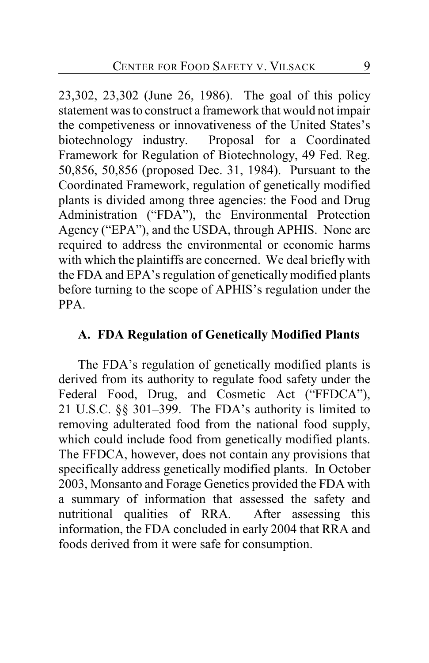23,302, 23,302 (June 26, 1986). The goal of this policy statement was to construct a framework that would not impair the competiveness or innovativeness of the United States's biotechnology industry. Proposal for a Coordinated Framework for Regulation of Biotechnology, 49 Fed. Reg. 50,856, 50,856 (proposed Dec. 31, 1984). Pursuant to the Coordinated Framework, regulation of genetically modified plants is divided among three agencies: the Food and Drug Administration ("FDA"), the Environmental Protection Agency ("EPA"), and the USDA, through APHIS. None are required to address the environmental or economic harms with which the plaintiffs are concerned. We deal briefly with the FDA and EPA's regulation of genetically modified plants before turning to the scope of APHIS's regulation under the PPA.

### **A. FDA Regulation of Genetically Modified Plants**

The FDA's regulation of genetically modified plants is derived from its authority to regulate food safety under the Federal Food, Drug, and Cosmetic Act ("FFDCA"), 21 U.S.C. §§ 301–399. The FDA's authority is limited to removing adulterated food from the national food supply, which could include food from genetically modified plants. The FFDCA, however, does not contain any provisions that specifically address genetically modified plants. In October 2003, Monsanto and Forage Genetics provided the FDA with a summary of information that assessed the safety and nutritional qualities of RRA. After assessing this information, the FDA concluded in early 2004 that RRA and foods derived from it were safe for consumption.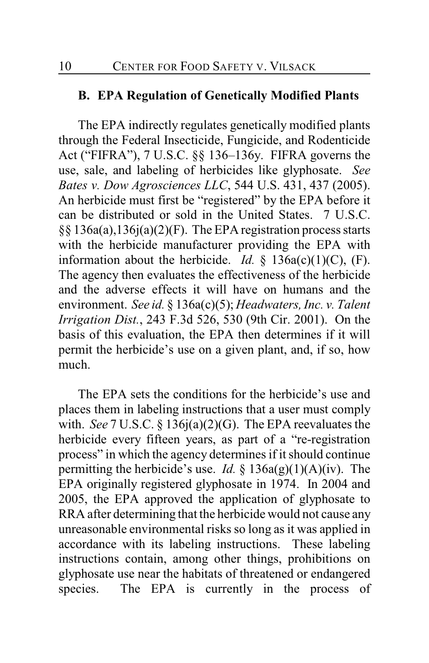#### **B. EPA Regulation of Genetically Modified Plants**

The EPA indirectly regulates genetically modified plants through the Federal Insecticide, Fungicide, and Rodenticide Act ("FIFRA"), 7 U.S.C. §§ 136–136y. FIFRA governs the use, sale, and labeling of herbicides like glyphosate. *See Bates v. Dow Agrosciences LLC*, 544 U.S. 431, 437 (2005). An herbicide must first be "registered" by the EPA before it can be distributed or sold in the United States. 7 U.S.C. §§ 136a(a),136j(a)(2)(F). The EPA registration process starts with the herbicide manufacturer providing the EPA with information about the herbicide. *Id.* § 136a(c)(1)(C), (F). The agency then evaluates the effectiveness of the herbicide and the adverse effects it will have on humans and the environment. *See id.* § 136a(c)(5); *Headwaters, Inc. v. Talent Irrigation Dist.*, 243 F.3d 526, 530 (9th Cir. 2001). On the basis of this evaluation, the EPA then determines if it will permit the herbicide's use on a given plant, and, if so, how much.

The EPA sets the conditions for the herbicide's use and places them in labeling instructions that a user must comply with. *See* 7 U.S.C. § 136j(a)(2)(G). The EPA reevaluates the herbicide every fifteen years, as part of a "re-registration process" in which the agency determines if it should continue permitting the herbicide's use. *Id.* § 136a(g)(1)(A)(iv). The EPA originally registered glyphosate in 1974. In 2004 and 2005, the EPA approved the application of glyphosate to RRA after determining that the herbicide would not cause any unreasonable environmental risks so long as it was applied in accordance with its labeling instructions. These labeling instructions contain, among other things, prohibitions on glyphosate use near the habitats of threatened or endangered species. The EPA is currently in the process of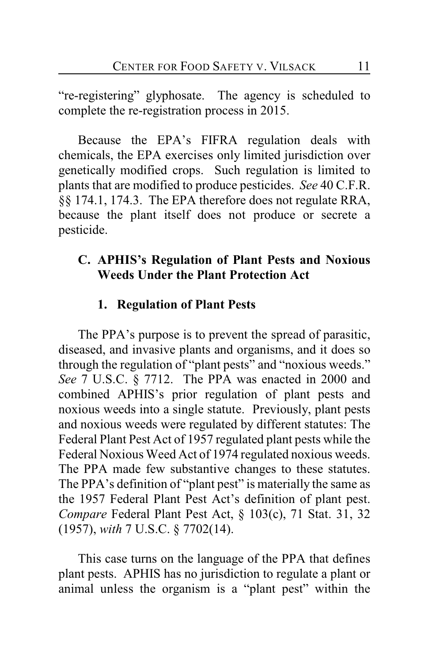"re-registering" glyphosate. The agency is scheduled to complete the re-registration process in 2015.

Because the EPA's FIFRA regulation deals with chemicals, the EPA exercises only limited jurisdiction over genetically modified crops. Such regulation is limited to plants that are modified to produce pesticides. *See* 40 C.F.R. §§ 174.1, 174.3. The EPA therefore does not regulate RRA, because the plant itself does not produce or secrete a pesticide.

### **C. APHIS's Regulation of Plant Pests and Noxious Weeds Under the Plant Protection Act**

### **1. Regulation of Plant Pests**

The PPA's purpose is to prevent the spread of parasitic, diseased, and invasive plants and organisms, and it does so through the regulation of "plant pests" and "noxious weeds." *See* 7 U.S.C. § 7712. The PPA was enacted in 2000 and combined APHIS's prior regulation of plant pests and noxious weeds into a single statute. Previously, plant pests and noxious weeds were regulated by different statutes: The Federal Plant Pest Act of 1957 regulated plant pests while the Federal Noxious Weed Act of 1974 regulated noxious weeds. The PPA made few substantive changes to these statutes. The PPA's definition of "plant pest" is materially the same as the 1957 Federal Plant Pest Act's definition of plant pest. *Compare* Federal Plant Pest Act, § 103(c), 71 Stat. 31, 32 (1957), *with* 7 U.S.C. § 7702(14).

This case turns on the language of the PPA that defines plant pests. APHIS has no jurisdiction to regulate a plant or animal unless the organism is a "plant pest" within the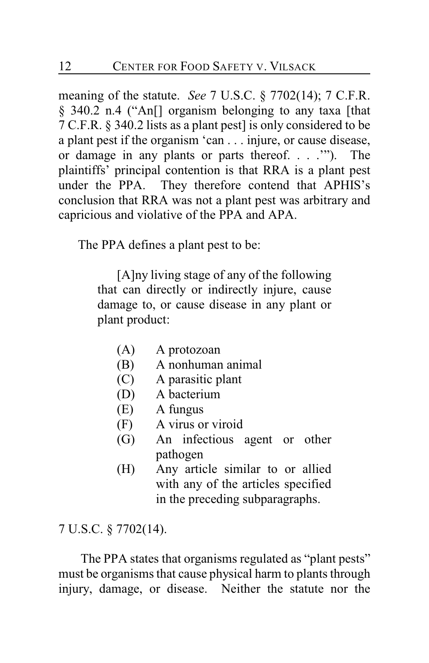meaning of the statute. *See* 7 U.S.C. § 7702(14); 7 C.F.R. § 340.2 n.4 ("An[] organism belonging to any taxa [that 7 C.F.R. § 340.2 lists as a plant pest] is only considered to be a plant pest if the organism 'can . . . injure, or cause disease, or damage in any plants or parts thereof. . . .'"). The plaintiffs' principal contention is that RRA is a plant pest under the PPA. They therefore contend that APHIS's conclusion that RRA was not a plant pest was arbitrary and capricious and violative of the PPA and APA.

The PPA defines a plant pest to be:

[A]ny living stage of any of the following that can directly or indirectly injure, cause damage to, or cause disease in any plant or plant product:

- (A) A protozoan
- (B) A nonhuman animal
- (C) A parasitic plant
- (D) A bacterium
- (E) A fungus
- (F) A virus or viroid
- (G) An infectious agent or other pathogen
- (H) Any article similar to or allied with any of the articles specified in the preceding subparagraphs.

7 U.S.C. § 7702(14).

 The PPA states that organisms regulated as "plant pests" must be organisms that cause physical harm to plants through injury, damage, or disease. Neither the statute nor the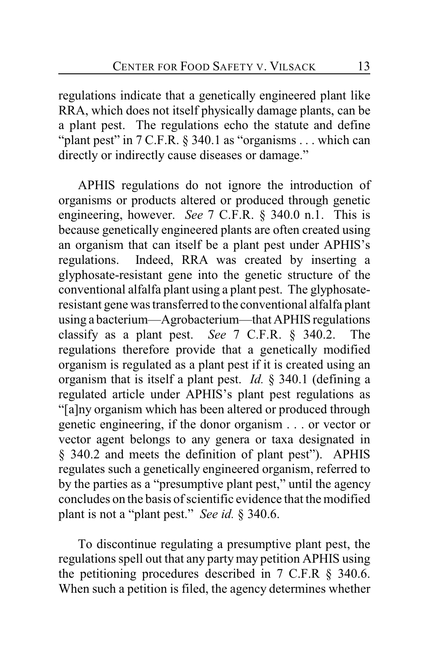regulations indicate that a genetically engineered plant like RRA, which does not itself physically damage plants, can be a plant pest. The regulations echo the statute and define "plant pest" in 7 C.F.R. § 340.1 as "organisms . . . which can directly or indirectly cause diseases or damage."

APHIS regulations do not ignore the introduction of organisms or products altered or produced through genetic engineering, however. *See* 7 C.F.R. § 340.0 n.1. This is because genetically engineered plants are often created using an organism that can itself be a plant pest under APHIS's regulations. Indeed, RRA was created by inserting a glyphosate-resistant gene into the genetic structure of the conventional alfalfa plant using a plant pest. The glyphosateresistant gene was transferred to the conventional alfalfa plant using a bacterium—Agrobacterium—that APHIS regulations classify as a plant pest. *See* 7 C.F.R. § 340.2. The regulations therefore provide that a genetically modified organism is regulated as a plant pest if it is created using an organism that is itself a plant pest. *Id.* § 340.1 (defining a regulated article under APHIS's plant pest regulations as "[a]ny organism which has been altered or produced through genetic engineering, if the donor organism . . . or vector or vector agent belongs to any genera or taxa designated in § 340.2 and meets the definition of plant pest"). APHIS regulates such a genetically engineered organism, referred to by the parties as a "presumptive plant pest," until the agency concludes on the basis of scientific evidence that the modified plant is not a "plant pest." *See id.* § 340.6.

To discontinue regulating a presumptive plant pest, the regulations spell out that any party may petition APHIS using the petitioning procedures described in 7 C.F.R § 340.6. When such a petition is filed, the agency determines whether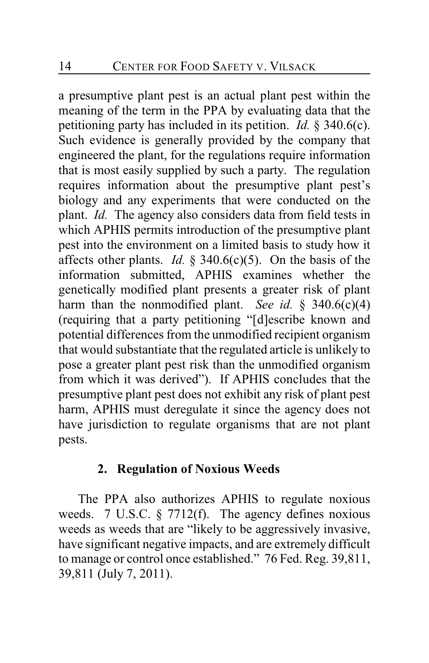a presumptive plant pest is an actual plant pest within the meaning of the term in the PPA by evaluating data that the petitioning party has included in its petition. *Id.* § 340.6(c). Such evidence is generally provided by the company that engineered the plant, for the regulations require information that is most easily supplied by such a party. The regulation requires information about the presumptive plant pest's biology and any experiments that were conducted on the plant. *Id.* The agency also considers data from field tests in which APHIS permits introduction of the presumptive plant pest into the environment on a limited basis to study how it affects other plants. *Id.* § 340.6(c)(5). On the basis of the information submitted, APHIS examines whether the genetically modified plant presents a greater risk of plant harm than the nonmodified plant. *See id.* § 340.6(c)(4) (requiring that a party petitioning "[d]escribe known and potential differences from the unmodified recipient organism that would substantiate that the regulated article is unlikely to pose a greater plant pest risk than the unmodified organism from which it was derived"). If APHIS concludes that the presumptive plant pest does not exhibit any risk of plant pest harm, APHIS must deregulate it since the agency does not have jurisdiction to regulate organisms that are not plant pests.

### **2. Regulation of Noxious Weeds**

The PPA also authorizes APHIS to regulate noxious weeds. 7 U.S.C. § 7712(f). The agency defines noxious weeds as weeds that are "likely to be aggressively invasive, have significant negative impacts, and are extremely difficult to manage or control once established." 76 Fed. Reg. 39,811, 39,811 (July 7, 2011).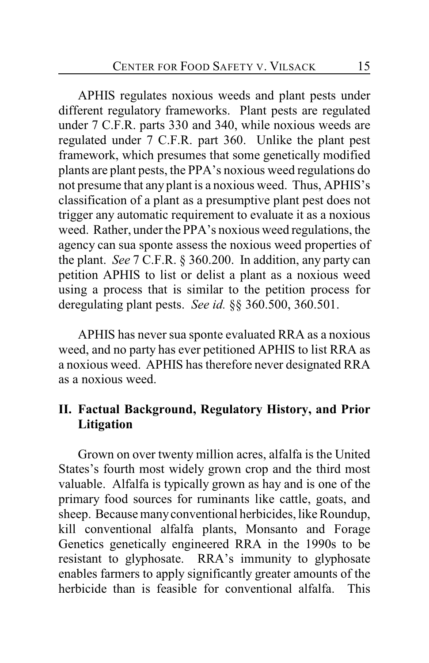APHIS regulates noxious weeds and plant pests under different regulatory frameworks. Plant pests are regulated under 7 C.F.R. parts 330 and 340, while noxious weeds are regulated under 7 C.F.R. part 360. Unlike the plant pest framework, which presumes that some genetically modified plants are plant pests, the PPA's noxious weed regulations do not presume that any plant is a noxious weed. Thus, APHIS's classification of a plant as a presumptive plant pest does not trigger any automatic requirement to evaluate it as a noxious weed. Rather, under the PPA's noxious weed regulations, the agency can sua sponte assess the noxious weed properties of the plant. *See* 7 C.F.R. § 360.200. In addition, any party can petition APHIS to list or delist a plant as a noxious weed using a process that is similar to the petition process for deregulating plant pests. *See id.* §§ 360.500, 360.501.

APHIS has never sua sponte evaluated RRA as a noxious weed, and no party has ever petitioned APHIS to list RRA as a noxious weed. APHIS has therefore never designated RRA as a noxious weed.

## **II. Factual Background, Regulatory History, and Prior Litigation**

Grown on over twenty million acres, alfalfa is the United States's fourth most widely grown crop and the third most valuable. Alfalfa is typically grown as hay and is one of the primary food sources for ruminants like cattle, goats, and sheep. Because many conventional herbicides, like Roundup, kill conventional alfalfa plants, Monsanto and Forage Genetics genetically engineered RRA in the 1990s to be resistant to glyphosate. RRA's immunity to glyphosate enables farmers to apply significantly greater amounts of the herbicide than is feasible for conventional alfalfa. This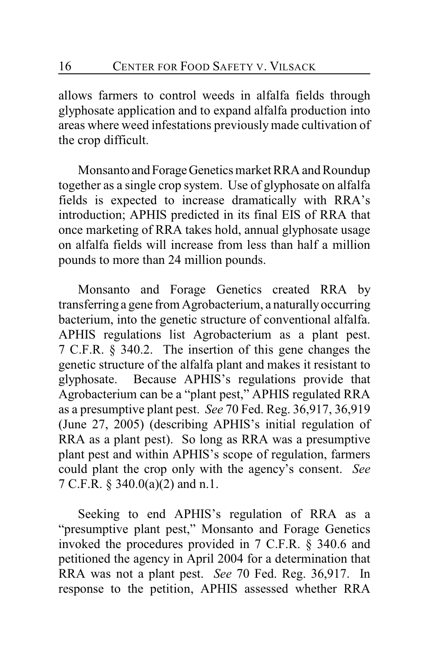allows farmers to control weeds in alfalfa fields through glyphosate application and to expand alfalfa production into areas where weed infestations previously made cultivation of the crop difficult.

Monsanto and Forage Genetics market RRA and Roundup together as a single crop system. Use of glyphosate on alfalfa fields is expected to increase dramatically with RRA's introduction; APHIS predicted in its final EIS of RRA that once marketing of RRA takes hold, annual glyphosate usage on alfalfa fields will increase from less than half a million pounds to more than 24 million pounds.

Monsanto and Forage Genetics created RRA by transferring a gene from Agrobacterium, a naturally occurring bacterium, into the genetic structure of conventional alfalfa. APHIS regulations list Agrobacterium as a plant pest. 7 C.F.R. § 340.2. The insertion of this gene changes the genetic structure of the alfalfa plant and makes it resistant to glyphosate. Because APHIS's regulations provide that Agrobacterium can be a "plant pest," APHIS regulated RRA as a presumptive plant pest. *See* 70 Fed. Reg. 36,917, 36,919 (June 27, 2005) (describing APHIS's initial regulation of RRA as a plant pest). So long as RRA was a presumptive plant pest and within APHIS's scope of regulation, farmers could plant the crop only with the agency's consent. *See* 7 C.F.R. § 340.0(a)(2) and n.1.

Seeking to end APHIS's regulation of RRA as a "presumptive plant pest," Monsanto and Forage Genetics invoked the procedures provided in 7 C.F.R. § 340.6 and petitioned the agency in April 2004 for a determination that RRA was not a plant pest. *See* 70 Fed. Reg. 36,917. In response to the petition, APHIS assessed whether RRA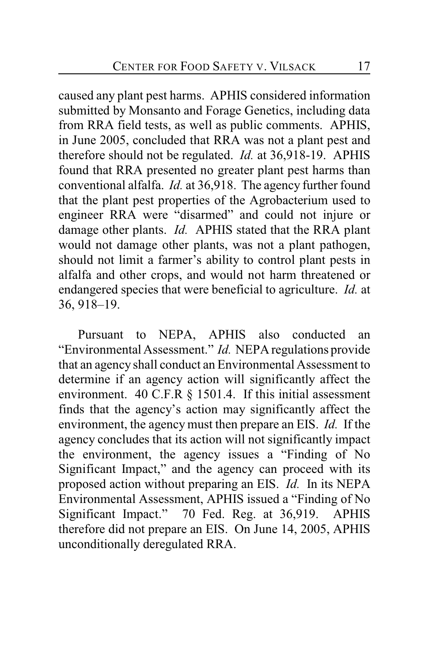caused any plant pest harms. APHIS considered information submitted by Monsanto and Forage Genetics, including data from RRA field tests, as well as public comments. APHIS, in June 2005, concluded that RRA was not a plant pest and therefore should not be regulated. *Id.* at 36,918-19. APHIS found that RRA presented no greater plant pest harms than conventional alfalfa. *Id.* at 36,918. The agency further found that the plant pest properties of the Agrobacterium used to engineer RRA were "disarmed" and could not injure or damage other plants. *Id.* APHIS stated that the RRA plant would not damage other plants, was not a plant pathogen, should not limit a farmer's ability to control plant pests in alfalfa and other crops, and would not harm threatened or endangered species that were beneficial to agriculture. *Id.* at 36, 918–19.

Pursuant to NEPA, APHIS also conducted an "Environmental Assessment." *Id.* NEPA regulations provide that an agency shall conduct an Environmental Assessment to determine if an agency action will significantly affect the environment. 40 C.F.R § 1501.4. If this initial assessment finds that the agency's action may significantly affect the environment, the agency must then prepare an EIS. *Id.* If the agency concludes that its action will not significantly impact the environment, the agency issues a "Finding of No Significant Impact," and the agency can proceed with its proposed action without preparing an EIS. *Id.* In its NEPA Environmental Assessment, APHIS issued a "Finding of No Significant Impact." 70 Fed. Reg. at 36,919. APHIS therefore did not prepare an EIS. On June 14, 2005, APHIS unconditionally deregulated RRA.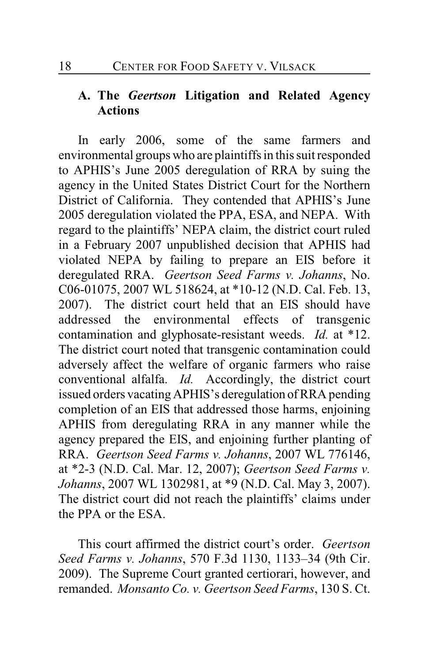# **A. The** *Geertson* **Litigation and Related Agency Actions**

In early 2006, some of the same farmers and environmental groups who are plaintiffs in this suit responded to APHIS's June 2005 deregulation of RRA by suing the agency in the United States District Court for the Northern District of California. They contended that APHIS's June 2005 deregulation violated the PPA, ESA, and NEPA. With regard to the plaintiffs' NEPA claim, the district court ruled in a February 2007 unpublished decision that APHIS had violated NEPA by failing to prepare an EIS before it deregulated RRA. *Geertson Seed Farms v. Johanns*, No. C06-01075, 2007 WL 518624, at \*10-12 (N.D. Cal. Feb. 13, 2007). The district court held that an EIS should have addressed the environmental effects of transgenic contamination and glyphosate-resistant weeds. *Id.* at \*12. The district court noted that transgenic contamination could adversely affect the welfare of organic farmers who raise conventional alfalfa. *Id.* Accordingly, the district court issued orders vacating APHIS's deregulation of RRA pending completion of an EIS that addressed those harms, enjoining APHIS from deregulating RRA in any manner while the agency prepared the EIS, and enjoining further planting of RRA. *Geertson Seed Farms v. Johanns*, 2007 WL 776146, at \*2-3 (N.D. Cal. Mar. 12, 2007); *Geertson Seed Farms v. Johanns*, 2007 WL 1302981, at \*9 (N.D. Cal. May 3, 2007). The district court did not reach the plaintiffs' claims under the PPA or the ESA.

This court affirmed the district court's order. *Geertson Seed Farms v. Johanns*, 570 F.3d 1130, 1133–34 (9th Cir. 2009). The Supreme Court granted certiorari, however, and remanded. *Monsanto Co. v. Geertson Seed Farms*, 130 S. Ct.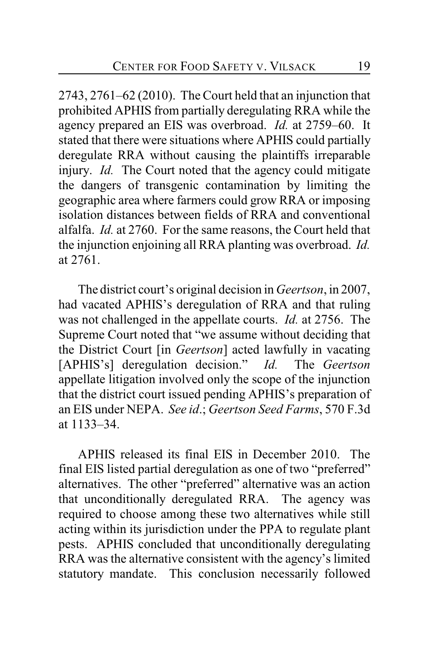2743, 2761–62 (2010). The Court held that an injunction that prohibited APHIS from partially deregulating RRA while the agency prepared an EIS was overbroad. *Id.* at 2759–60. It stated that there were situations where APHIS could partially deregulate RRA without causing the plaintiffs irreparable injury. *Id.* The Court noted that the agency could mitigate the dangers of transgenic contamination by limiting the geographic area where farmers could grow RRA or imposing isolation distances between fields of RRA and conventional alfalfa. *Id.* at 2760. For the same reasons, the Court held that the injunction enjoining all RRA planting was overbroad. *Id.* at 2761.

The district court's original decision in *Geertson*, in 2007, had vacated APHIS's deregulation of RRA and that ruling was not challenged in the appellate courts. *Id.* at 2756. The Supreme Court noted that "we assume without deciding that the District Court [in *Geertson*] acted lawfully in vacating [APHIS's] deregulation decision." *Id.* The *Geertson* appellate litigation involved only the scope of the injunction that the district court issued pending APHIS's preparation of an EIS under NEPA. *See id*.; *Geertson Seed Farms*, 570 F.3d at 1133–34.

APHIS released its final EIS in December 2010. The final EIS listed partial deregulation as one of two "preferred" alternatives. The other "preferred" alternative was an action that unconditionally deregulated RRA. The agency was required to choose among these two alternatives while still acting within its jurisdiction under the PPA to regulate plant pests. APHIS concluded that unconditionally deregulating RRA was the alternative consistent with the agency's limited statutory mandate. This conclusion necessarily followed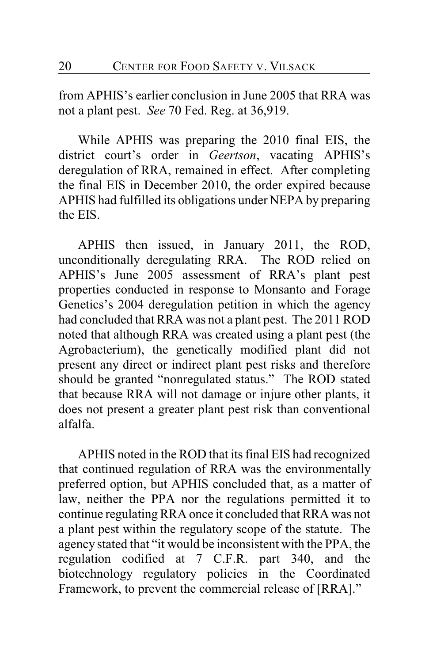from APHIS's earlier conclusion in June 2005 that RRA was not a plant pest. *See* 70 Fed. Reg. at 36,919.

While APHIS was preparing the 2010 final EIS, the district court's order in *Geertson*, vacating APHIS's deregulation of RRA, remained in effect. After completing the final EIS in December 2010, the order expired because APHIS had fulfilled its obligations under NEPA by preparing the EIS.

APHIS then issued, in January 2011, the ROD, unconditionally deregulating RRA. The ROD relied on APHIS's June 2005 assessment of RRA's plant pest properties conducted in response to Monsanto and Forage Genetics's 2004 deregulation petition in which the agency had concluded that RRA was not a plant pest. The 2011 ROD noted that although RRA was created using a plant pest (the Agrobacterium), the genetically modified plant did not present any direct or indirect plant pest risks and therefore should be granted "nonregulated status." The ROD stated that because RRA will not damage or injure other plants, it does not present a greater plant pest risk than conventional alfalfa.

APHIS noted in the ROD that its final EIS had recognized that continued regulation of RRA was the environmentally preferred option, but APHIS concluded that, as a matter of law, neither the PPA nor the regulations permitted it to continue regulating RRA once it concluded that RRA was not a plant pest within the regulatory scope of the statute. The agency stated that "it would be inconsistent with the PPA, the regulation codified at 7 C.F.R. part 340, and the biotechnology regulatory policies in the Coordinated Framework, to prevent the commercial release of [RRA]."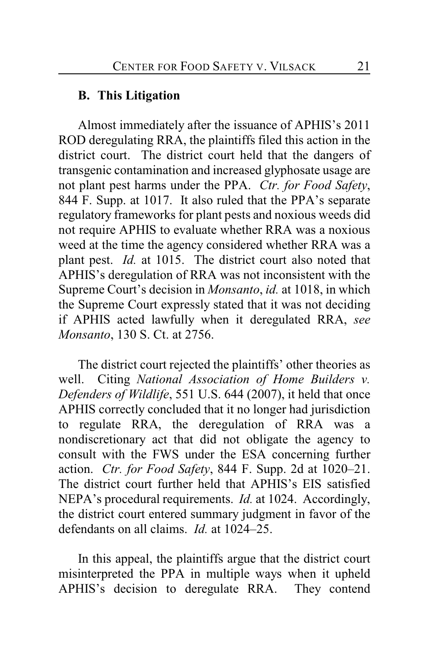### **B. This Litigation**

Almost immediately after the issuance of APHIS's 2011 ROD deregulating RRA, the plaintiffs filed this action in the district court. The district court held that the dangers of transgenic contamination and increased glyphosate usage are not plant pest harms under the PPA. *Ctr. for Food Safety*, 844 F. Supp. at 1017. It also ruled that the PPA's separate regulatory frameworks for plant pests and noxious weeds did not require APHIS to evaluate whether RRA was a noxious weed at the time the agency considered whether RRA was a plant pest. *Id.* at 1015. The district court also noted that APHIS's deregulation of RRA was not inconsistent with the Supreme Court's decision in *Monsanto*, *id.* at 1018, in which the Supreme Court expressly stated that it was not deciding if APHIS acted lawfully when it deregulated RRA, *see Monsanto*, 130 S. Ct. at 2756.

The district court rejected the plaintiffs' other theories as well. Citing *National Association of Home Builders v. Defenders of Wildlife*, 551 U.S. 644 (2007), it held that once APHIS correctly concluded that it no longer had jurisdiction to regulate RRA, the deregulation of RRA was a nondiscretionary act that did not obligate the agency to consult with the FWS under the ESA concerning further action. *Ctr. for Food Safety*, 844 F. Supp. 2d at 1020–21. The district court further held that APHIS's EIS satisfied NEPA's procedural requirements. *Id.* at 1024. Accordingly, the district court entered summary judgment in favor of the defendants on all claims. *Id.* at 1024–25.

In this appeal, the plaintiffs argue that the district court misinterpreted the PPA in multiple ways when it upheld APHIS's decision to deregulate RRA. They contend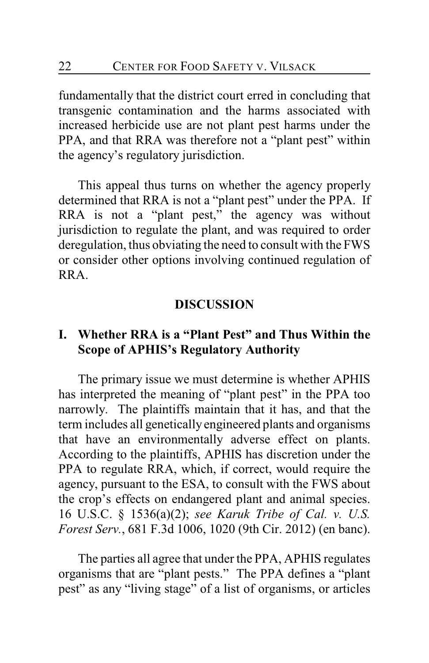fundamentally that the district court erred in concluding that transgenic contamination and the harms associated with increased herbicide use are not plant pest harms under the PPA, and that RRA was therefore not a "plant pest" within the agency's regulatory jurisdiction.

This appeal thus turns on whether the agency properly determined that RRA is not a "plant pest" under the PPA. If RRA is not a "plant pest," the agency was without jurisdiction to regulate the plant, and was required to order deregulation, thus obviating the need to consult with the FWS or consider other options involving continued regulation of RRA.

#### **DISCUSSION**

### **I. Whether RRA is a "Plant Pest" and Thus Within the Scope of APHIS's Regulatory Authority**

The primary issue we must determine is whether APHIS has interpreted the meaning of "plant pest" in the PPA too narrowly. The plaintiffs maintain that it has, and that the term includes all genetically engineered plants and organisms that have an environmentally adverse effect on plants. According to the plaintiffs, APHIS has discretion under the PPA to regulate RRA, which, if correct, would require the agency, pursuant to the ESA, to consult with the FWS about the crop's effects on endangered plant and animal species. 16 U.S.C. § 1536(a)(2); *see Karuk Tribe of Cal. v. U.S. Forest Serv.*, 681 F.3d 1006, 1020 (9th Cir. 2012) (en banc).

The parties all agree that under the PPA, APHIS regulates organisms that are "plant pests." The PPA defines a "plant pest" as any "living stage" of a list of organisms, or articles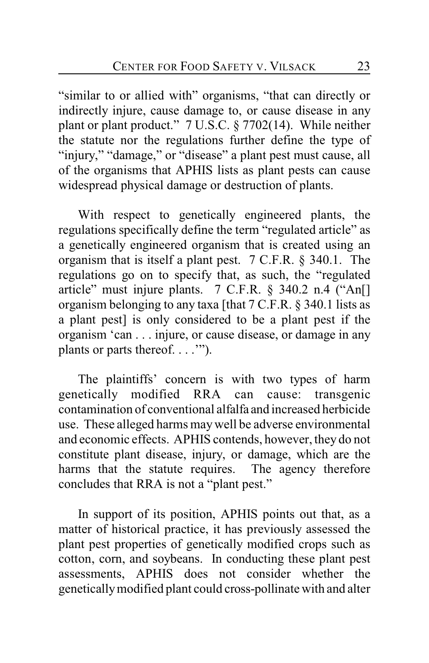"similar to or allied with" organisms, "that can directly or indirectly injure, cause damage to, or cause disease in any plant or plant product." 7 U.S.C. § 7702(14). While neither the statute nor the regulations further define the type of "injury," "damage," or "disease" a plant pest must cause, all of the organisms that APHIS lists as plant pests can cause widespread physical damage or destruction of plants.

With respect to genetically engineered plants, the regulations specifically define the term "regulated article" as a genetically engineered organism that is created using an organism that is itself a plant pest. 7 C.F.R. § 340.1. The regulations go on to specify that, as such, the "regulated article" must injure plants. 7 C.F.R. § 340.2 n.4 ("An[] organism belonging to any taxa [that 7 C.F.R. § 340.1 lists as a plant pest] is only considered to be a plant pest if the organism 'can . . . injure, or cause disease, or damage in any plants or parts thereof. . . .'").

The plaintiffs' concern is with two types of harm genetically modified RRA can cause: transgenic contamination of conventional alfalfa and increased herbicide use. These alleged harms maywell be adverse environmental and economic effects. APHIS contends, however, they do not constitute plant disease, injury, or damage, which are the harms that the statute requires. The agency therefore concludes that RRA is not a "plant pest."

In support of its position, APHIS points out that, as a matter of historical practice, it has previously assessed the plant pest properties of genetically modified crops such as cotton, corn, and soybeans. In conducting these plant pest assessments, APHIS does not consider whether the genetically modified plant could cross-pollinate with and alter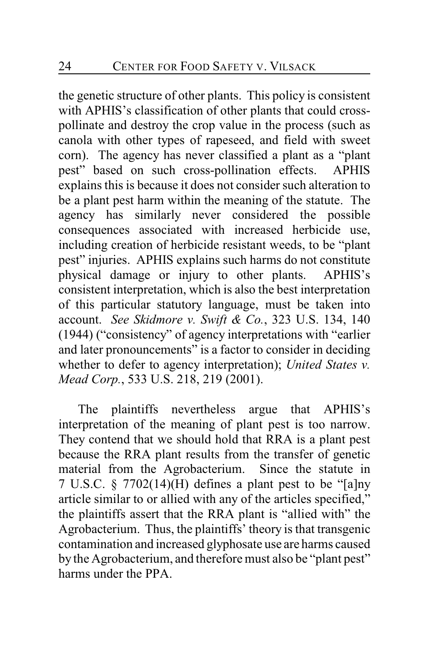the genetic structure of other plants. This policy is consistent with APHIS's classification of other plants that could crosspollinate and destroy the crop value in the process (such as canola with other types of rapeseed, and field with sweet corn). The agency has never classified a plant as a "plant pest" based on such cross-pollination effects. APHIS explains this is because it does not consider such alteration to be a plant pest harm within the meaning of the statute. The agency has similarly never considered the possible consequences associated with increased herbicide use, including creation of herbicide resistant weeds, to be "plant pest" injuries. APHIS explains such harms do not constitute physical damage or injury to other plants. APHIS's consistent interpretation, which is also the best interpretation of this particular statutory language, must be taken into account. *See Skidmore v. Swift & Co.*, 323 U.S. 134, 140 (1944) ("consistency" of agency interpretations with "earlier and later pronouncements" is a factor to consider in deciding whether to defer to agency interpretation); *United States v. Mead Corp.*, 533 U.S. 218, 219 (2001).

The plaintiffs nevertheless argue that APHIS's interpretation of the meaning of plant pest is too narrow. They contend that we should hold that RRA is a plant pest because the RRA plant results from the transfer of genetic material from the Agrobacterium. Since the statute in 7 U.S.C. § 7702(14)(H) defines a plant pest to be "[a]ny article similar to or allied with any of the articles specified," the plaintiffs assert that the RRA plant is "allied with" the Agrobacterium. Thus, the plaintiffs' theory is that transgenic contamination and increased glyphosate use are harms caused by the Agrobacterium, and therefore must also be "plant pest" harms under the PPA.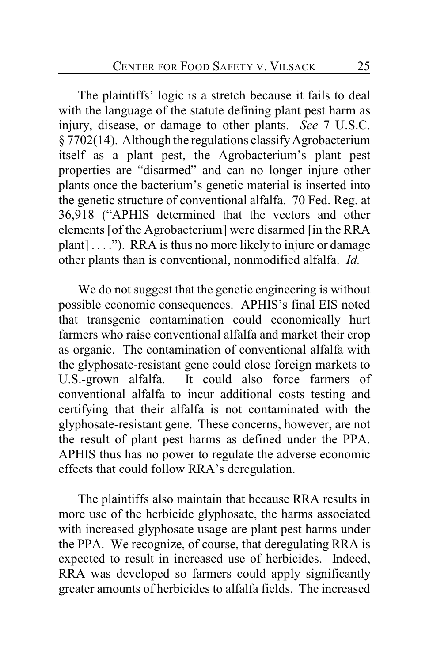The plaintiffs' logic is a stretch because it fails to deal with the language of the statute defining plant pest harm as injury, disease, or damage to other plants. *See* 7 U.S.C. § 7702(14). Although the regulations classify Agrobacterium itself as a plant pest, the Agrobacterium's plant pest properties are "disarmed" and can no longer injure other plants once the bacterium's genetic material is inserted into the genetic structure of conventional alfalfa. 70 Fed. Reg. at 36,918 ("APHIS determined that the vectors and other elements [of the Agrobacterium] were disarmed [in the RRA plant] . . . ."). RRA is thus no more likely to injure or damage other plants than is conventional, nonmodified alfalfa. *Id.*

We do not suggest that the genetic engineering is without possible economic consequences. APHIS's final EIS noted that transgenic contamination could economically hurt farmers who raise conventional alfalfa and market their crop as organic. The contamination of conventional alfalfa with the glyphosate-resistant gene could close foreign markets to U.S.-grown alfalfa. It could also force farmers of conventional alfalfa to incur additional costs testing and certifying that their alfalfa is not contaminated with the glyphosate-resistant gene. These concerns, however, are not the result of plant pest harms as defined under the PPA. APHIS thus has no power to regulate the adverse economic effects that could follow RRA's deregulation.

The plaintiffs also maintain that because RRA results in more use of the herbicide glyphosate, the harms associated with increased glyphosate usage are plant pest harms under the PPA. We recognize, of course, that deregulating RRA is expected to result in increased use of herbicides. Indeed, RRA was developed so farmers could apply significantly greater amounts of herbicides to alfalfa fields. The increased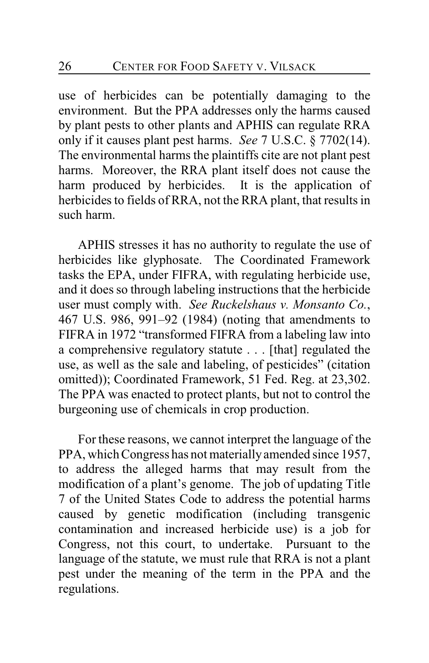use of herbicides can be potentially damaging to the environment. But the PPA addresses only the harms caused by plant pests to other plants and APHIS can regulate RRA only if it causes plant pest harms. *See* 7 U.S.C. § 7702(14). The environmental harms the plaintiffs cite are not plant pest harms. Moreover, the RRA plant itself does not cause the harm produced by herbicides. It is the application of herbicides to fields of RRA, not the RRA plant, that results in such harm.

APHIS stresses it has no authority to regulate the use of herbicides like glyphosate. The Coordinated Framework tasks the EPA, under FIFRA, with regulating herbicide use, and it does so through labeling instructions that the herbicide user must comply with. *See Ruckelshaus v. Monsanto Co.*, 467 U.S. 986, 991–92 (1984) (noting that amendments to FIFRA in 1972 "transformed FIFRA from a labeling law into a comprehensive regulatory statute . . . [that] regulated the use, as well as the sale and labeling, of pesticides" (citation omitted)); Coordinated Framework, 51 Fed. Reg. at 23,302. The PPA was enacted to protect plants, but not to control the burgeoning use of chemicals in crop production.

For these reasons, we cannot interpret the language of the PPA, which Congress has not materially amended since 1957, to address the alleged harms that may result from the modification of a plant's genome. The job of updating Title 7 of the United States Code to address the potential harms caused by genetic modification (including transgenic contamination and increased herbicide use) is a job for Congress, not this court, to undertake. Pursuant to the language of the statute, we must rule that RRA is not a plant pest under the meaning of the term in the PPA and the regulations.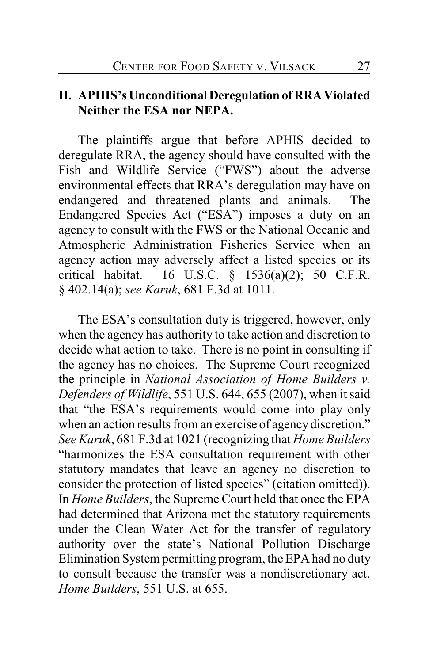### **II. APHIS's Unconditional Deregulation of RRA Violated Neither the ESA nor NEPA.**

The plaintiffs argue that before APHIS decided to deregulate RRA, the agency should have consulted with the Fish and Wildlife Service ("FWS") about the adverse environmental effects that RRA's deregulation may have on endangered and threatened plants and animals. The Endangered Species Act ("ESA") imposes a duty on an agency to consult with the FWS or the National Oceanic and Atmospheric Administration Fisheries Service when an agency action may adversely affect a listed species or its critical habitat. 16 U.S.C. § 1536(a)(2); 50 C.F.R. § 402.14(a); *see Karuk*, 681 F.3d at 1011.

The ESA's consultation duty is triggered, however, only when the agency has authority to take action and discretion to decide what action to take. There is no point in consulting if the agency has no choices. The Supreme Court recognized the principle in *National Association of Home Builders v. Defenders of Wildlife*, 551 U.S. 644, 655 (2007), when it said that "the ESA's requirements would come into play only when an action results from an exercise of agency discretion." *See Karuk*, 681 F.3d at 1021 (recognizing that *Home Builders* "harmonizes the ESA consultation requirement with other statutory mandates that leave an agency no discretion to consider the protection of listed species" (citation omitted)). In *Home Builders*, the Supreme Court held that once the EPA had determined that Arizona met the statutory requirements under the Clean Water Act for the transfer of regulatory authority over the state's National Pollution Discharge Elimination System permitting program, the EPAhad no duty to consult because the transfer was a nondiscretionary act. *Home Builders*, 551 U.S. at 655.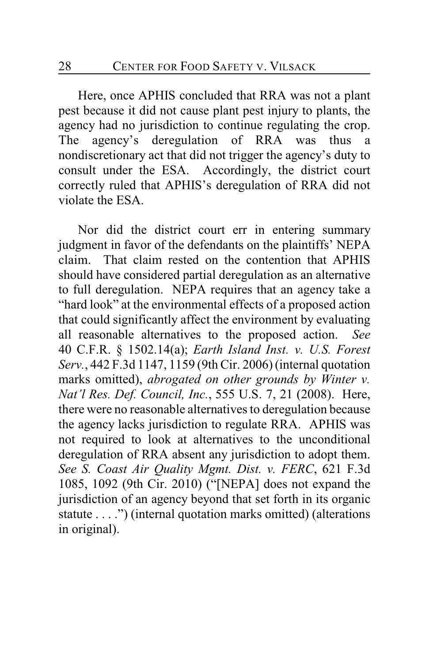Here, once APHIS concluded that RRA was not a plant pest because it did not cause plant pest injury to plants, the agency had no jurisdiction to continue regulating the crop. The agency's deregulation of RRA was thus a nondiscretionary act that did not trigger the agency's duty to consult under the ESA. Accordingly, the district court correctly ruled that APHIS's deregulation of RRA did not violate the ESA.

Nor did the district court err in entering summary judgment in favor of the defendants on the plaintiffs' NEPA claim. That claim rested on the contention that APHIS should have considered partial deregulation as an alternative to full deregulation. NEPA requires that an agency take a "hard look" at the environmental effects of a proposed action that could significantly affect the environment by evaluating all reasonable alternatives to the proposed action. *See* 40 C.F.R. § 1502.14(a); *Earth Island Inst. v. U.S. Forest Serv.*, 442 F.3d 1147, 1159 (9th Cir. 2006)(internal quotation marks omitted), *abrogated on other grounds by Winter v. Nat'l Res. Def. Council, Inc.*, 555 U.S. 7, 21 (2008). Here, there were no reasonable alternatives to deregulation because the agency lacks jurisdiction to regulate RRA. APHIS was not required to look at alternatives to the unconditional deregulation of RRA absent any jurisdiction to adopt them. *See S. Coast Air Quality Mgmt. Dist. v. FERC*, 621 F.3d 1085, 1092 (9th Cir. 2010) ("[NEPA] does not expand the jurisdiction of an agency beyond that set forth in its organic statute . . . .") (internal quotation marks omitted) (alterations in original).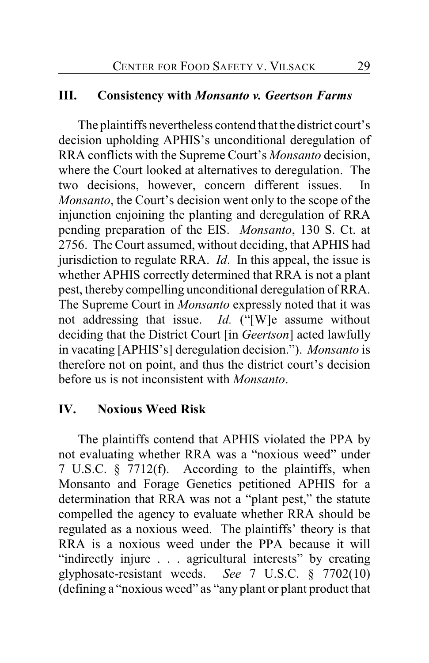#### **III. Consistency with** *Monsanto v. Geertson Farms*

The plaintiffs nevertheless contend that the district court's decision upholding APHIS's unconditional deregulation of RRA conflicts with the Supreme Court's *Monsanto* decision, where the Court looked at alternatives to deregulation. The two decisions, however, concern different issues. In *Monsanto*, the Court's decision went only to the scope of the injunction enjoining the planting and deregulation of RRA pending preparation of the EIS. *Monsanto*, 130 S. Ct. at 2756. The Court assumed, without deciding, that APHIS had jurisdiction to regulate RRA. *Id*. In this appeal, the issue is whether APHIS correctly determined that RRA is not a plant pest, thereby compelling unconditional deregulation of RRA. The Supreme Court in *Monsanto* expressly noted that it was not addressing that issue. *Id.* ("[W]e assume without deciding that the District Court [in *Geertson*] acted lawfully in vacating [APHIS's] deregulation decision."). *Monsanto* is therefore not on point, and thus the district court's decision before us is not inconsistent with *Monsanto*.

### **IV. Noxious Weed Risk**

The plaintiffs contend that APHIS violated the PPA by not evaluating whether RRA was a "noxious weed" under 7 U.S.C. § 7712(f). According to the plaintiffs, when Monsanto and Forage Genetics petitioned APHIS for a determination that RRA was not a "plant pest," the statute compelled the agency to evaluate whether RRA should be regulated as a noxious weed. The plaintiffs' theory is that RRA is a noxious weed under the PPA because it will "indirectly injure . . . agricultural interests" by creating glyphosate-resistant weeds. *See* 7 U.S.C. § 7702(10) (defining a "noxious weed" as "any plant or plant product that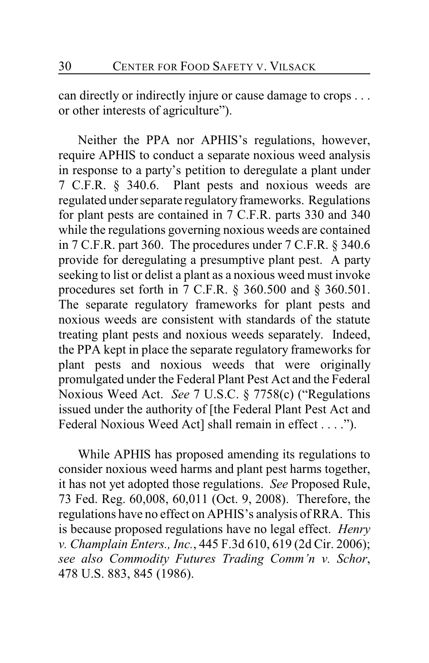can directly or indirectly injure or cause damage to crops . . . or other interests of agriculture").

Neither the PPA nor APHIS's regulations, however, require APHIS to conduct a separate noxious weed analysis in response to a party's petition to deregulate a plant under 7 C.F.R. § 340.6. Plant pests and noxious weeds are regulated under separate regulatory frameworks. Regulations for plant pests are contained in 7 C.F.R. parts 330 and 340 while the regulations governing noxious weeds are contained in 7 C.F.R. part 360. The procedures under 7 C.F.R. § 340.6 provide for deregulating a presumptive plant pest. A party seeking to list or delist a plant as a noxious weed must invoke procedures set forth in 7 C.F.R. § 360.500 and § 360.501. The separate regulatory frameworks for plant pests and noxious weeds are consistent with standards of the statute treating plant pests and noxious weeds separately. Indeed, the PPA kept in place the separate regulatory frameworks for plant pests and noxious weeds that were originally promulgated under the Federal Plant Pest Act and the Federal Noxious Weed Act. *See* 7 U.S.C. § 7758(c) ("Regulations issued under the authority of [the Federal Plant Pest Act and Federal Noxious Weed Act] shall remain in effect . . . .").

While APHIS has proposed amending its regulations to consider noxious weed harms and plant pest harms together, it has not yet adopted those regulations. *See* Proposed Rule, 73 Fed. Reg. 60,008, 60,011 (Oct. 9, 2008). Therefore, the regulations have no effect on APHIS's analysis of RRA. This is because proposed regulations have no legal effect. *Henry v. Champlain Enters., Inc.*, 445 F.3d 610, 619 (2d Cir. 2006); *see also Commodity Futures Trading Comm'n v. Schor*, 478 U.S. 883, 845 (1986).